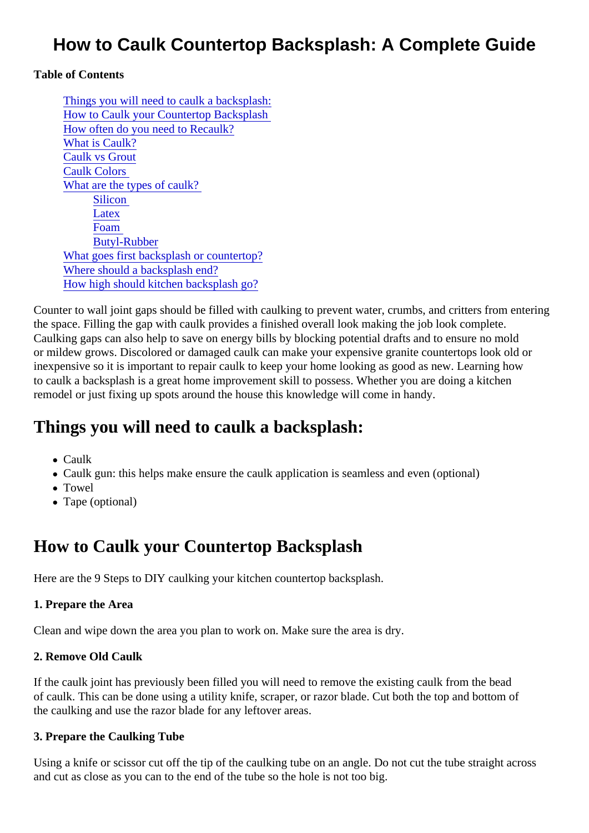### How to Caulk Countertop Backsplash: A Complete Guide

Table of Contents

Things you will need to caulk a backsplash: How to Caulk your Countertop Backsplash [How often do you need to Recau](#page-1-0)lk? [What is Caulk](#page-1-0)? [Caulk vs Grou](#page-1-0)t [Caulk Colors](#page-2-0) [What are the types of caulk](#page-2-0)? **Silicon [Latex](#page-2-0)** [Foam](#page-2-0) [Butyl-Rubbe](#page-2-0)r [What goes first backsplash or countert](#page-2-0)op? [Where should a backsplash e](#page-2-0)nd? [How high should kitchen backsplash g](#page-3-0)o?

Counter to wall joint gaps should be filled with caulking to prevent water, crumbs, and critters from entering the space. Filling the gap with caulk provides a finished overall look making the job look complete. Caulking gaps can also help to save on energy bills by blocking potential drafts and to ensure no mold or mildew grows. Discolored or damaged caulk can make your expensive granite countertops look old or inexpensive so it is important to repair caulk to keep your home looking as good as new. Learning how to caulk a backsplash is a great home improvement skill to possess. Whether you are doing a kitchen remodel or just fixing up spots around the house this knowledge will come in handy.

### Things you will need to caulk a backsplash:

- Caulk
- Caulk gun: this helps make ensure the caulk application is seamless and even (optional)
- Towel
- Tape (optional)

# How to Caulk your Countertop Backsplash

Here are the 9 Steps to DIY caulking your kitchen countertop backsplash.

1. Prepare the Area

Clean and wipe down the area you plan to work on. Make sure the area is dry.

2. Remove Old Caulk

If the caulk joint has previously been filled you will need to remove the existing caulk from the bead of caulk. This can be done using a utility knife, scraper, or razor blade. Cut both the top and bottom of the caulking and use the razor blade for any leftover areas.

3. Prepare the Caulking Tube

Using a knife or scissor cut off the tip of the caulking tube on an angle. Do not cut the tube straight across and cut as close as you can to the end of the tube so the hole is not too big.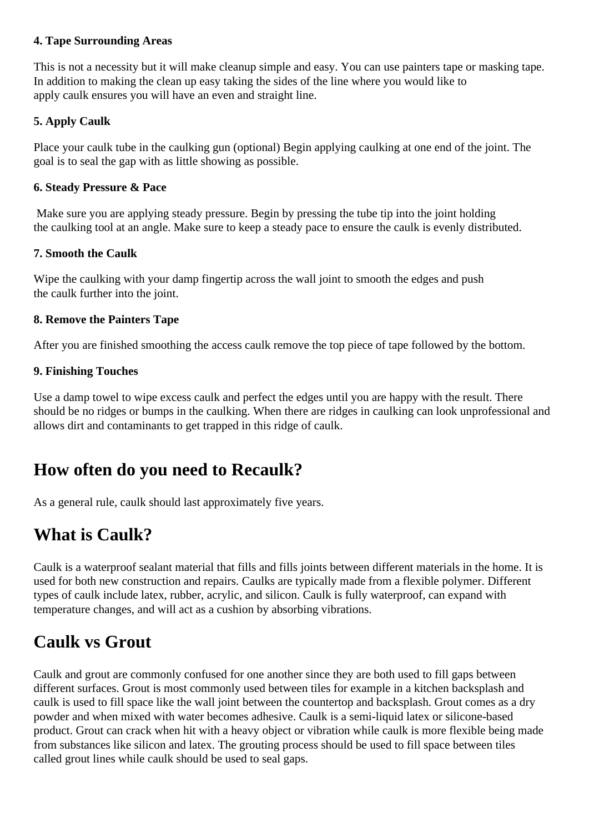#### <span id="page-1-0"></span>**4. Tape Surrounding Areas**

This is not a necessity but it will make cleanup simple and easy. You can use painters tape or masking tape. In addition to making the clean up easy taking the sides of the line where you would like to apply caulk ensures you will have an even and straight line.

### **5. Apply Caulk**

Place your caulk tube in the caulking gun (optional) Begin applying caulking at one end of the joint. The goal is to seal the gap with as little showing as possible.

#### **6. Steady Pressure & Pace**

 Make sure you are applying steady pressure. Begin by pressing the tube tip into the joint holding the caulking tool at an angle. Make sure to keep a steady pace to ensure the caulk is evenly distributed.

#### **7. Smooth the Caulk**

Wipe the caulking with your damp fingertip across the wall joint to smooth the edges and push the caulk further into the joint.

#### **8. Remove the Painters Tape**

After you are finished smoothing the access caulk remove the top piece of tape followed by the bottom.

#### **9. Finishing Touches**

Use a damp towel to wipe excess caulk and perfect the edges until you are happy with the result. There should be no ridges or bumps in the caulking. When there are ridges in caulking can look unprofessional and allows dirt and contaminants to get trapped in this ridge of caulk.

### **How often do you need to Recaulk?**

As a general rule, caulk should last approximately five years.

# **What is Caulk?**

Caulk is a waterproof sealant material that fills and fills joints between different materials in the home. It is used for both new construction and repairs. Caulks are typically made from a flexible polymer. Different types of caulk include latex, rubber, acrylic, and silicon. Caulk is fully waterproof, can expand with temperature changes, and will act as a cushion by absorbing vibrations.

### **Caulk vs Grout**

Caulk and grout are commonly confused for one another since they are both used to fill gaps between different surfaces. Grout is most commonly used between tiles for example in a kitchen backsplash and caulk is used to fill space like the wall joint between the countertop and backsplash. Grout comes as a dry powder and when mixed with water becomes adhesive. Caulk is a semi-liquid latex or silicone-based product. Grout can crack when hit with a heavy object or vibration while caulk is more flexible being made from substances like silicon and latex. The grouting process should be used to fill space between tiles called grout lines while caulk should be used to seal gaps.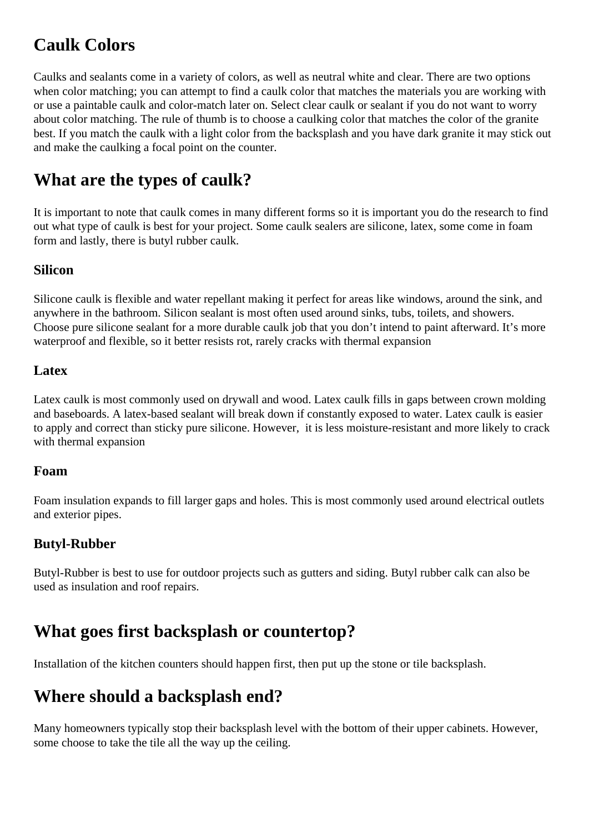# <span id="page-2-0"></span>**Caulk Colors**

Caulks and sealants come in a variety of colors, as well as neutral white and clear. There are two options when color matching; you can attempt to find a caulk color that matches the materials you are working with or use a paintable caulk and color-match later on. Select clear caulk or sealant if you do not want to worry about color matching. The rule of thumb is to choose a caulking color that matches the color of the granite best. If you match the caulk with a light color from the backsplash and you have dark granite it may stick out and make the caulking a focal point on the counter.

# **What are the types of caulk?**

It is important to note that caulk comes in many different forms so it is important you do the research to find out what type of caulk is best for your project. Some caulk sealers are silicone, latex, some come in foam form and lastly, there is butyl rubber caulk.

### **Silicon**

Silicone caulk is flexible and water repellant making it perfect for areas like windows, around the sink, and anywhere in the bathroom. Silicon sealant is most often used around sinks, tubs, toilets, and showers. Choose pure silicone sealant for a more durable caulk job that you don't intend to paint afterward. It's more waterproof and flexible, so it better resists rot, rarely cracks with thermal expansion

### **Latex**

Latex caulk is most commonly used on drywall and wood. Latex caulk fills in gaps between crown molding and baseboards. A latex-based sealant will break down if constantly exposed to water. Latex caulk is easier to apply and correct than sticky pure silicone. However, it is less moisture-resistant and more likely to crack with thermal expansion

#### **Foam**

Foam insulation expands to fill larger gaps and holes. This is most commonly used around electrical outlets and exterior pipes.

### **Butyl-Rubber**

Butyl-Rubber is best to use for outdoor projects such as gutters and siding. Butyl rubber calk can also be used as insulation and roof repairs.

### **What goes first backsplash or countertop?**

Installation of the kitchen counters should happen first, then put up the stone or tile backsplash.

### **Where should a backsplash end?**

Many homeowners typically stop their backsplash level with the bottom of their upper cabinets. However, some choose to take the tile all the way up the ceiling.